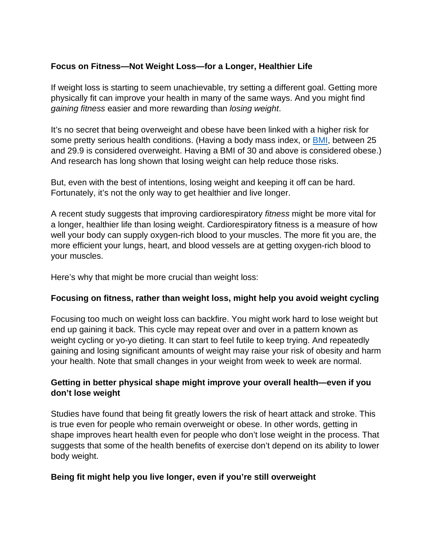# **Focus on Fitness—Not Weight Loss—for a Longer, Healthier Life**

If weight loss is starting to seem unachievable, try setting a different goal. Getting more physically fit can improve your health in many of the same ways. And you might find *gaining fitness* easier and more rewarding than *losing weight*.

It's no secret that being overweight and obese have been linked with a higher risk for some pretty serious health conditions. (Having a [body mass index, or BMI,](https://www.nhlbi.nih.gov/health/educational/lose_wt/BMI/bmicalc.htm) between 25 and 29.9 is considered overweight. Having a BMI of 30 and above is considered obese.) And research has long shown that losing weight can help reduce those risks.

But, even with the best of intentions, losing weight and keeping it off can be hard. Fortunately, it's not the only way to get healthier and live longer.

A recent study suggests that improving cardiorespiratory *fitness* might be more vital for a longer, healthier life than losing weight. Cardiorespiratory fitness is a measure of how well your body can supply oxygen-rich blood to your muscles. The more fit you are, the more efficient your lungs, heart, and blood vessels are at getting oxygen-rich blood to your muscles.

Here's why that might be more crucial than weight loss:

## **Focusing on fitness, rather than weight loss, might help you avoid weight cycling**

Focusing too much on weight loss can backfire. You might work hard to lose weight but end up gaining it back. This cycle may repeat over and over in a pattern known as weight cycling or yo-yo dieting. It can start to feel futile to keep trying. And repeatedly gaining and losing significant amounts of weight may raise your risk of obesity and harm your health. Note that small changes in your weight from week to week are normal.

## **Getting in better physical shape might improve your overall health—even if you don't lose weight**

Studies have found that being fit greatly lowers the risk of heart attack and stroke. This is true even for people who remain overweight or obese. In other words, getting in shape improves heart health even for people who don't lose weight in the process. That suggests that some of the health benefits of exercise don't depend on its ability to lower body weight.

## **Being fit might help you live longer, even if you're still overweight**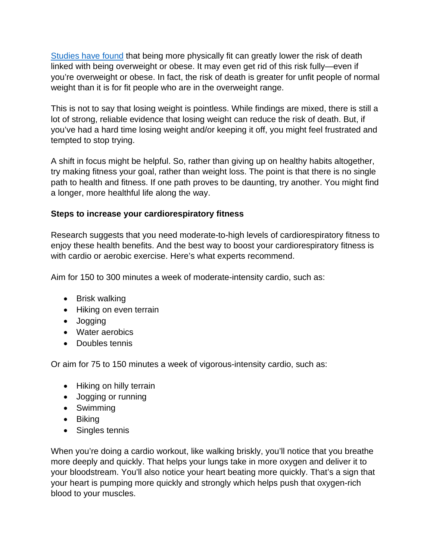[Studies have found](https://www.sciencedirect.com/science/article/abs/pii/S0033062013001552?via%3Dihub) that being more physically fit can greatly lower the risk of death linked with being overweight or obese. It may even get rid of this risk fully—even if you're overweight or obese. In fact, the risk of death is greater for unfit people of normal weight than it is for fit people who are in the overweight range.

This is not to say that losing weight is pointless. While findings are mixed, there is still a lot of strong, reliable evidence that losing weight can reduce the risk of death. But, if you've had a hard time losing weight and/or keeping it off, you might feel frustrated and tempted to stop trying.

A shift in focus might be helpful. So, rather than giving up on healthy habits altogether, try making fitness your goal, rather than weight loss. The point is that there is no single path to health and fitness. If one path proves to be daunting, try another. You might find a longer, more healthful life along the way.

## **Steps to increase your cardiorespiratory fitness**

Research suggests that you need moderate-to-high levels of cardiorespiratory fitness to enjoy these health benefits. And the best way to boost your cardiorespiratory fitness is with cardio or aerobic exercise. Here's what experts recommend.

Aim for 150 to 300 minutes a week of moderate-intensity cardio, such as:

- Brisk walking
- Hiking on even terrain
- Jogging
- Water aerobics
- Doubles tennis

Or aim for 75 to 150 minutes a week of vigorous-intensity cardio, such as:

- Hiking on hilly terrain
- Jogging or running
- Swimming
- Biking
- Singles tennis

When you're doing a cardio workout, like walking briskly, you'll notice that you breathe more deeply and quickly. That helps your lungs take in more oxygen and deliver it to your bloodstream. You'll also notice your heart beating more quickly. That's a sign that your heart is pumping more quickly and strongly which helps push that oxygen-rich blood to your muscles.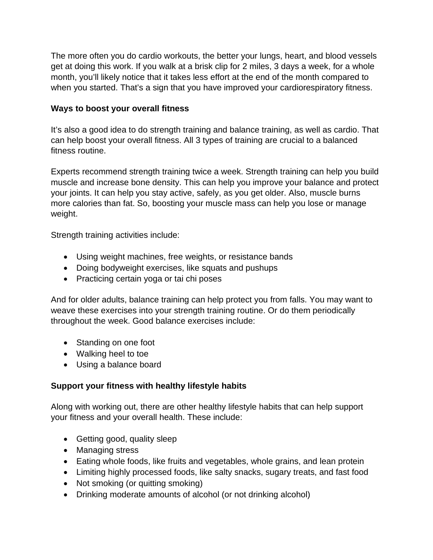The more often you do cardio workouts, the better your lungs, heart, and blood vessels get at doing this work. If you walk at a brisk clip for 2 miles, 3 days a week, for a whole month, you'll likely notice that it takes less effort at the end of the month compared to when you started. That's a sign that you have improved your cardiorespiratory fitness.

#### **Ways to boost your overall fitness**

It's also a good idea to do strength training and balance training, as well as cardio. That can help boost your overall fitness. All 3 types of training are crucial to a balanced fitness routine.

Experts recommend strength training twice a week. Strength training can help you build muscle and increase bone density. This can help you improve your balance and protect your joints. It can help you stay active, safely, as you get older. Also, muscle burns more calories than fat. So, boosting your muscle mass can help you lose or manage weight.

Strength training activities include:

- Using weight machines, free weights, or resistance bands
- Doing bodyweight exercises, like squats and pushups
- Practicing certain yoga or tai chi poses

And for older adults, balance training can help protect you from falls. You may want to weave these exercises into your strength training routine. Or do them periodically throughout the week. Good balance exercises include:

- Standing on one foot
- Walking heel to toe
- Using a balance board

## **Support your fitness with healthy lifestyle habits**

Along with working out, there are other healthy lifestyle habits that can help support your fitness and your overall health. These include:

- Getting good, quality sleep
- Managing stress
- Eating whole foods, like fruits and vegetables, whole grains, and lean protein
- Limiting highly processed foods, like salty snacks, sugary treats, and fast food
- Not smoking (or quitting smoking)
- Drinking moderate amounts of alcohol (or not drinking alcohol)